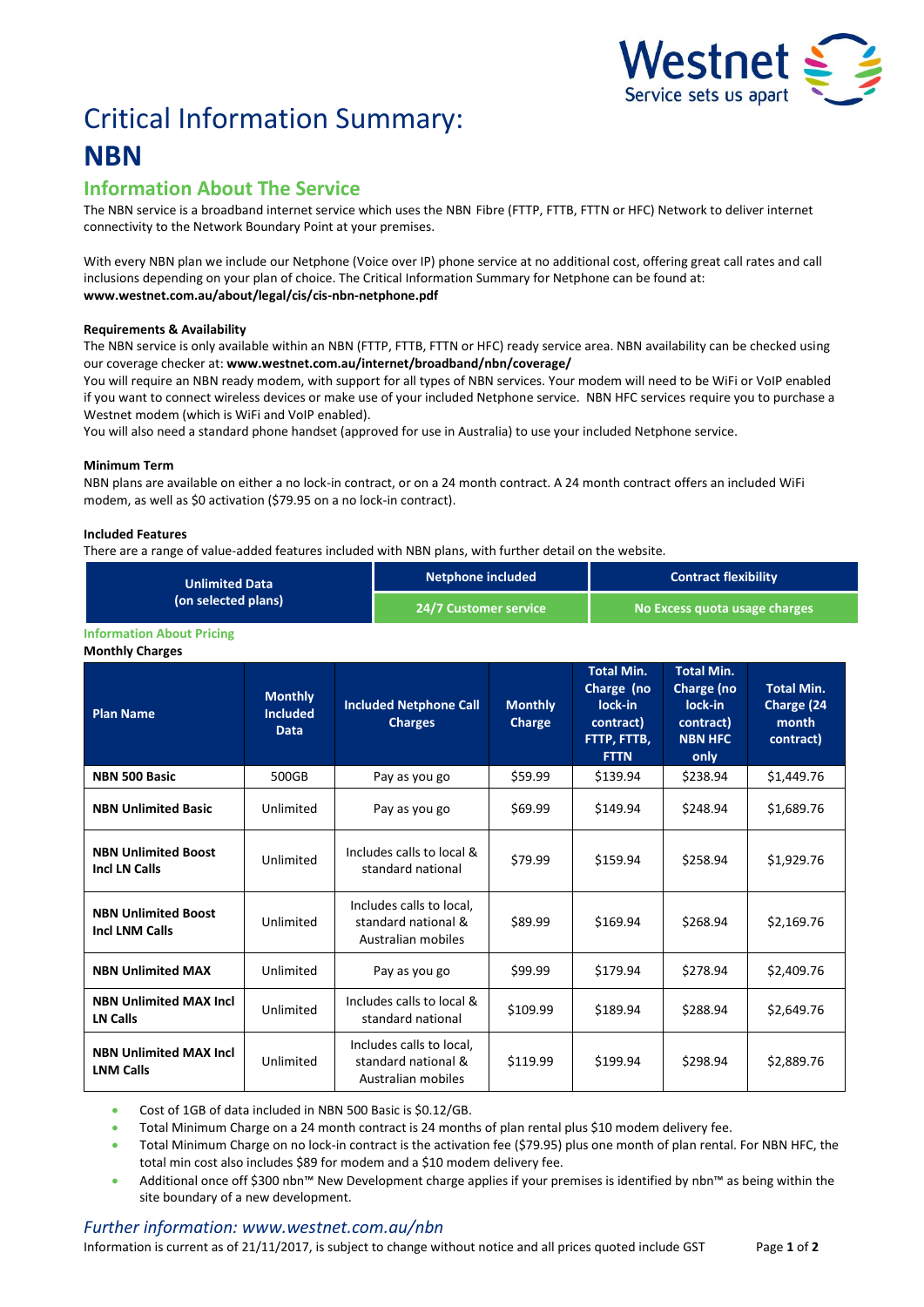

# Critical Information Summary: **NBN**

## **Information About The Service**

The NBN service is a broadband internet service which uses the NBNFibre (FTTP, FTTB, FTTN or HFC) Network to deliver internet connectivity to the Network Boundary Point at your premises.

With every NBN plan we include our Netphone (Voice over IP) phone service at no additional cost, offering great call rates and call inclusions depending on your plan of choice. The Critical Information Summary for Netphone can be found at: **www.westnet.com.au/about/legal/cis/cis-nbn-netphone.pdf**

#### **Requirements & Availability**

The NBN service is only available within an NBN (FTTP, FTTB, FTTN or HFC) ready service area. NBN availability can be checked using our coverage checker at: **www.westnet.com.au/internet/broadband/nbn/coverage/**

You will require an NBN ready modem, with support for all types of NBN services. Your modem will need to be WiFi or VoIP enabled if you want to connect wireless devices or make use of your included Netphone service. NBN HFC services require you to purchase a Westnet modem (which is WiFi and VoIP enabled).

You will also need a standard phone handset (approved for use in Australia) to use your included Netphone service.

#### **Minimum Term**

NBN plans are available on either a no lock-in contract, or on a 24 month contract. A 24 month contract offers an included WiFi modem, as well as \$0 activation (\$79.95 on a no lock-in contract).

#### **Included Features**

There are a range of value-added features included with NBN plans, with further detail on the website.

| <b>Unlimited Data</b><br>(on selected plans) | Netphone included     | <b>Contract flexibility</b>   |
|----------------------------------------------|-----------------------|-------------------------------|
|                                              | 24/7 Customer service | No Excess quota usage charges |

#### **Information About Pricing**

**Monthly Charges**

| <b>Plan Name</b>                                    | <b>Monthly</b><br><b>Included</b><br><b>Data</b> | <b>Included Netphone Call</b><br><b>Charges</b>                       | <b>Monthly</b><br>Charge | <b>Total Min.</b><br>Charge (no<br>lock-in<br>contract)<br>FTTP, FTTB,<br><b>FTTN</b> | <b>Total Min.</b><br>Charge (no<br>lock-in<br>contract)<br><b>NBN HFC</b><br>only | <b>Total Min.</b><br>Charge (24<br>month<br>contract) |
|-----------------------------------------------------|--------------------------------------------------|-----------------------------------------------------------------------|--------------------------|---------------------------------------------------------------------------------------|-----------------------------------------------------------------------------------|-------------------------------------------------------|
| <b>NBN 500 Basic</b>                                | 500GB                                            | Pay as you go                                                         | \$59.99                  | \$139.94                                                                              | \$238.94                                                                          | \$1,449.76                                            |
| <b>NBN Unlimited Basic</b>                          | Unlimited                                        | Pay as you go                                                         | \$69.99                  | \$149.94                                                                              | \$248.94                                                                          | \$1,689.76                                            |
| <b>NBN Unlimited Boost</b><br><b>Incl LN Calls</b>  | Unlimited                                        | Includes calls to local &<br>standard national                        | \$79.99                  | \$159.94                                                                              | \$258.94                                                                          | \$1,929.76                                            |
| <b>NBN Unlimited Boost</b><br><b>Incl LNM Calls</b> | Unlimited                                        | Includes calls to local,<br>standard national &<br>Australian mobiles | \$89.99                  | \$169.94                                                                              | \$268.94                                                                          | \$2,169.76                                            |
| <b>NBN Unlimited MAX</b>                            | Unlimited                                        | Pay as you go                                                         | \$99.99                  | \$179.94                                                                              | \$278.94                                                                          | \$2,409.76                                            |
| <b>NBN Unlimited MAX Incl.</b><br>LN Calls          | Unlimited                                        | Includes calls to local &<br>standard national                        | \$109.99                 | \$189.94                                                                              | \$288.94                                                                          | \$2,649.76                                            |
| <b>NBN Unlimited MAX Incl.</b><br><b>LNM Calls</b>  | Unlimited                                        | Includes calls to local,<br>standard national &<br>Australian mobiles | \$119.99                 | \$199.94                                                                              | \$298.94                                                                          | \$2,889.76                                            |

Cost of 1GB of data included in NBN 500 Basic is \$0.12/GB.

Total Minimum Charge on a 24 month contract is 24 months of plan rental plus \$10 modem delivery fee.

 Total Minimum Charge on no lock-in contract is the activation fee (\$79.95) plus one month of plan rental. For NBN HFC, the total min cost also includes \$89 for modem and a \$10 modem delivery fee.

 Additional once off \$300 nbn™ New Development charge applies if your premises is identified by nbn™ as being within the site boundary of a new development.

### *Further information: www.westnet.com.au/nbn*

Information is current as of 21/11/2017, is subject to change without notice and all prices quoted include GST Page **1** of **2**